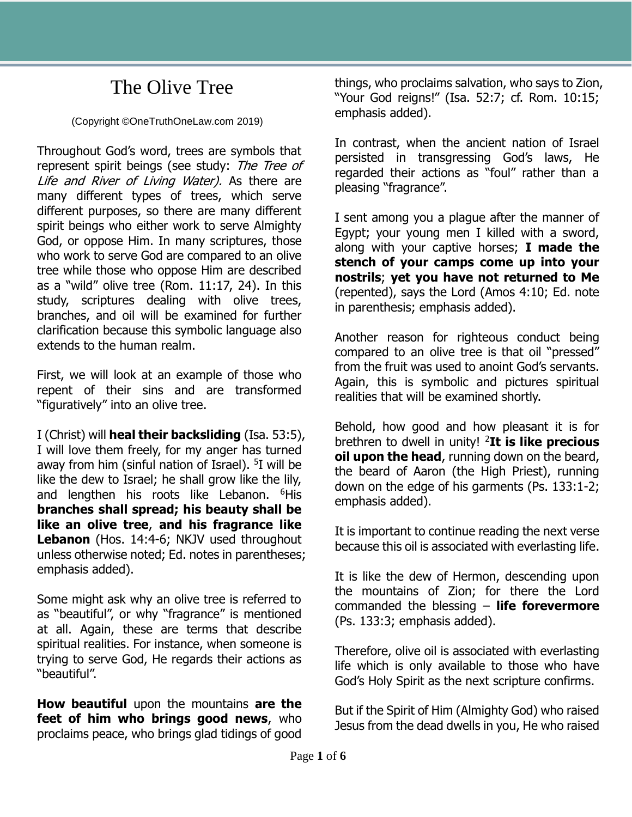## The Olive Tree

(Copyright ©OneTruthOneLaw.com 2019)

Throughout God's word, trees are symbols that represent spirit beings (see study: The Tree of Life and River of Living Water). As there are many different types of trees, which serve different purposes, so there are many different spirit beings who either work to serve Almighty God, or oppose Him. In many scriptures, those who work to serve God are compared to an olive tree while those who oppose Him are described as a "wild" olive tree (Rom. 11:17, 24). In this study, scriptures dealing with olive trees, branches, and oil will be examined for further clarification because this symbolic language also extends to the human realm.

First, we will look at an example of those who repent of their sins and are transformed "figuratively" into an olive tree.

I (Christ) will **heal their backsliding** (Isa. 53:5), I will love them freely, for my anger has turned away from him (sinful nation of Israel). <sup>5</sup>I will be like the dew to Israel; he shall grow like the lily, and lengthen his roots like Lebanon. <sup>6</sup>His **branches shall spread; his beauty shall be like an olive tree**, **and his fragrance like**  Lebanon (Hos. 14:4-6; NKJV used throughout unless otherwise noted; Ed. notes in parentheses; emphasis added).

Some might ask why an olive tree is referred to as "beautiful", or why "fragrance" is mentioned at all. Again, these are terms that describe spiritual realities. For instance, when someone is trying to serve God, He regards their actions as "beautiful".

**How beautiful** upon the mountains **are the feet of him who brings good news**, who proclaims peace, who brings glad tidings of good

things, who proclaims salvation, who says to Zion, "Your God reigns!" (Isa. 52:7; cf. Rom. 10:15; emphasis added).

In contrast, when the ancient nation of Israel persisted in transgressing God's laws, He regarded their actions as "foul" rather than a pleasing "fragrance".

I sent among you a plague after the manner of Egypt; your young men I killed with a sword, along with your captive horses; **I made the stench of your camps come up into your nostrils**; **yet you have not returned to Me**  (repented), says the Lord (Amos 4:10; Ed. note in parenthesis; emphasis added).

Another reason for righteous conduct being compared to an olive tree is that oil "pressed" from the fruit was used to anoint God's servants. Again, this is symbolic and pictures spiritual realities that will be examined shortly.

Behold, how good and how pleasant it is for brethren to dwell in unity! <sup>2</sup>**It is like precious oil upon the head**, running down on the beard, the beard of Aaron (the High Priest), running down on the edge of his garments (Ps. 133:1-2; emphasis added).

It is important to continue reading the next verse because this oil is associated with everlasting life.

It is like the dew of Hermon, descending upon the mountains of Zion; for there the Lord commanded the blessing – **life forevermore** (Ps. 133:3; emphasis added).

Therefore, olive oil is associated with everlasting life which is only available to those who have God's Holy Spirit as the next scripture confirms.

But if the Spirit of Him (Almighty God) who raised Jesus from the dead dwells in you, He who raised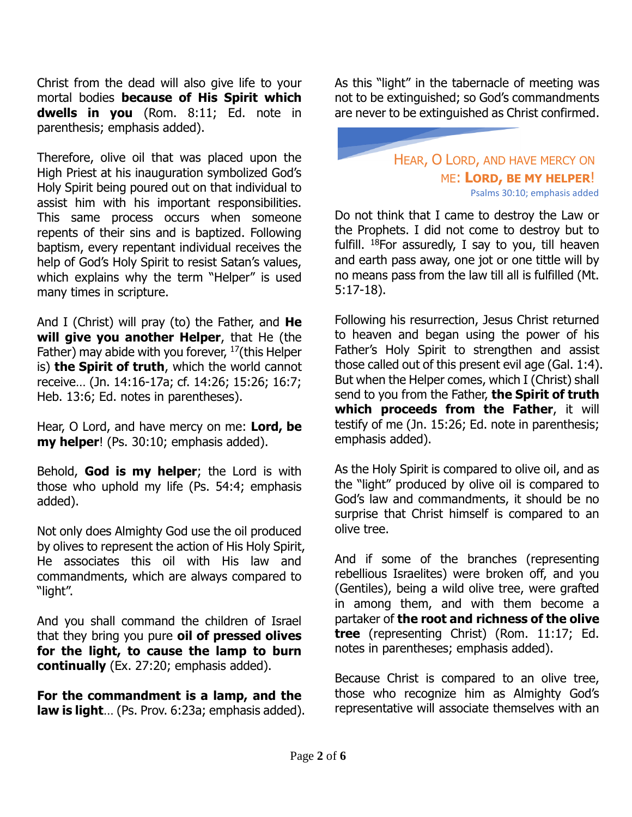Christ from the dead will also give life to your mortal bodies **because of His Spirit which dwells in you** (Rom. 8:11; Ed. note in parenthesis; emphasis added).

Therefore, olive oil that was placed upon the High Priest at his inauguration symbolized God's Holy Spirit being poured out on that individual to assist him with his important responsibilities. This same process occurs when someone repents of their sins and is baptized. Following baptism, every repentant individual receives the help of God's Holy Spirit to resist Satan's values, which explains why the term "Helper" is used many times in scripture.

And I (Christ) will pray (to) the Father, and **He will give you another Helper**, that He (the Father) may abide with you forever, <sup>17</sup>(this Helper is) **the Spirit of truth**, which the world cannot receive… (Jn. 14:16-17a; cf. 14:26; 15:26; 16:7; Heb. 13:6; Ed. notes in parentheses).

Hear, O Lord, and have mercy on me: **Lord, be my helper**! (Ps. 30:10; emphasis added).

Behold, **God is my helper**; the Lord is with those who uphold my life (Ps. 54:4; emphasis added).

Not only does Almighty God use the oil produced by olives to represent the action of His Holy Spirit, He associates this oil with His law and commandments, which are always compared to "light".

And you shall command the children of Israel that they bring you pure **oil of pressed olives for the light, to cause the lamp to burn continually** (Ex. 27:20; emphasis added).

**For the commandment is a lamp, and the law is light**… (Ps. Prov. 6:23a; emphasis added). As this "light" in the tabernacle of meeting was not to be extinguished; so God's commandments are never to be extinguished as Christ confirmed.

## HEAR, O LORD, AND HAVE MERCY ON ME: **LORD, BE MY HELPER**! Psalms 30:10; emphasis added

Do not think that I came to destroy the Law or the Prophets. I did not come to destroy but to fulfill.  $18$ For assuredly, I say to you, till heaven and earth pass away, one jot or one tittle will by no means pass from the law till all is fulfilled (Mt. 5:17-18).

Following his resurrection, Jesus Christ returned to heaven and began using the power of his Father's Holy Spirit to strengthen and assist those called out of this present evil age (Gal. 1:4). But when the Helper comes, which I (Christ) shall send to you from the Father, **the Spirit of truth which proceeds from the Father**, it will testify of me (Jn. 15:26; Ed. note in parenthesis; emphasis added).

As the Holy Spirit is compared to olive oil, and as the "light" produced by olive oil is compared to God's law and commandments, it should be no surprise that Christ himself is compared to an olive tree.

And if some of the branches (representing rebellious Israelites) were broken off, and you (Gentiles), being a wild olive tree, were grafted in among them, and with them become a partaker of **the root and richness of the olive tree** (representing Christ) (Rom. 11:17; Ed. notes in parentheses; emphasis added).

Because Christ is compared to an olive tree, those who recognize him as Almighty God's representative will associate themselves with an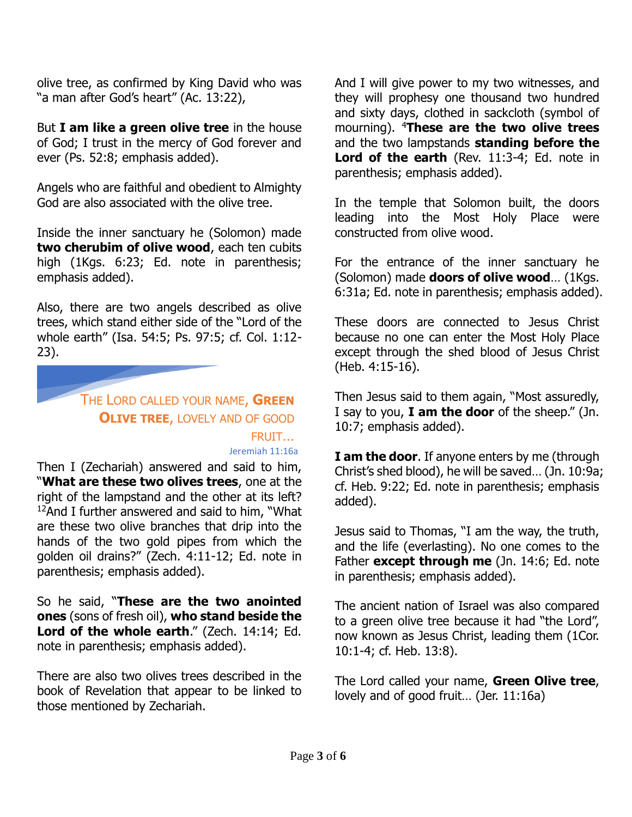olive tree, as confirmed by King David who was "a man after God's heart" (Ac. 13:22),

But **I am like a green olive tree** in the house of God; I trust in the mercy of God forever and ever (Ps. 52:8; emphasis added).

Angels who are faithful and obedient to Almighty God are also associated with the olive tree.

Inside the inner sanctuary he (Solomon) made **two cherubim of olive wood**, each ten cubits high (1Kgs. 6:23; Ed. note in parenthesis; emphasis added).

Also, there are two angels described as olive trees, which stand either side of the "Lord of the whole earth" (Isa. 54:5; Ps. 97:5; cf. Col. 1:12- 23).

## THE LORD CALLED YOUR NAME, **GREEN OLIVE TREE**, LOVELY AND OF GOOD FRUIT… Jeremiah 11:16a

Then I (Zechariah) answered and said to him, "**What are these two olives trees**, one at the right of the lampstand and the other at its left?  $12$ And I further answered and said to him, "What are these two olive branches that drip into the hands of the two gold pipes from which the golden oil drains?" (Zech. 4:11-12; Ed. note in parenthesis; emphasis added).

So he said, "**These are the two anointed ones** (sons of fresh oil), **who stand beside the Lord of the whole earth**." (Zech. 14:14; Ed. note in parenthesis; emphasis added).

There are also two olives trees described in the book of Revelation that appear to be linked to those mentioned by Zechariah.

And I will give power to my two witnesses, and they will prophesy one thousand two hundred and sixty days, clothed in sackcloth (symbol of mourning). <sup>4</sup>**These are the two olive trees** and the two lampstands **standing before the**  Lord of the earth (Rev. 11:3-4; Ed. note in parenthesis; emphasis added).

In the temple that Solomon built, the doors leading into the Most Holy Place were constructed from olive wood.

For the entrance of the inner sanctuary he (Solomon) made **doors of olive wood**… (1Kgs. 6:31a; Ed. note in parenthesis; emphasis added).

These doors are connected to Jesus Christ because no one can enter the Most Holy Place except through the shed blood of Jesus Christ (Heb. 4:15-16).

Then Jesus said to them again, "Most assuredly, I say to you, **I am the door** of the sheep." (Jn. 10:7; emphasis added).

**I am the door**. If anyone enters by me (through Christ's shed blood), he will be saved… (Jn. 10:9a; cf. Heb. 9:22; Ed. note in parenthesis; emphasis added).

Jesus said to Thomas, "I am the way, the truth, and the life (everlasting). No one comes to the Father **except through me** (Jn. 14:6; Ed. note in parenthesis; emphasis added).

The ancient nation of Israel was also compared to a green olive tree because it had "the Lord", now known as Jesus Christ, leading them (1Cor. 10:1-4; cf. Heb. 13:8).

The Lord called your name, **Green Olive tree**, lovely and of good fruit… (Jer. 11:16a)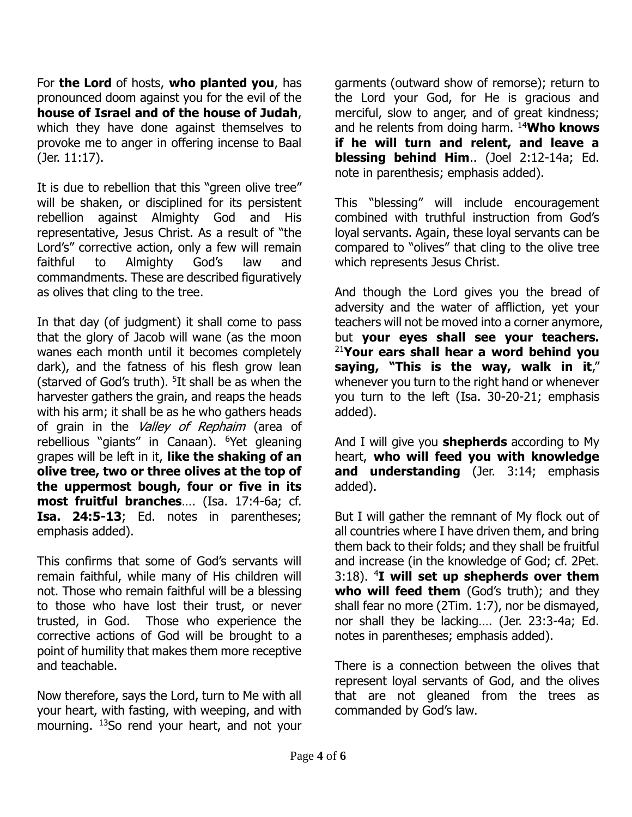For **the Lord** of hosts, **who planted you**, has pronounced doom against you for the evil of the **house of Israel and of the house of Judah**, which they have done against themselves to provoke me to anger in offering incense to Baal (Jer. 11:17).

It is due to rebellion that this "green olive tree" will be shaken, or disciplined for its persistent rebellion against Almighty God and His representative, Jesus Christ. As a result of "the Lord's" corrective action, only a few will remain faithful to Almighty God's law and commandments. These are described figuratively as olives that cling to the tree.

In that day (of judgment) it shall come to pass that the glory of Jacob will wane (as the moon wanes each month until it becomes completely dark), and the fatness of his flesh grow lean (starved of God's truth). <sup>5</sup>It shall be as when the harvester gathers the grain, and reaps the heads with his arm; it shall be as he who gathers heads of grain in the Valley of Rephaim (area of rebellious "giants" in Canaan). <sup>6</sup>Yet gleaning grapes will be left in it, **like the shaking of an olive tree, two or three olives at the top of the uppermost bough, four or five in its most fruitful branches**…. (Isa. 17:4-6a; cf. **Isa. 24:5-13**; Ed. notes in parentheses; emphasis added).

This confirms that some of God's servants will remain faithful, while many of His children will not. Those who remain faithful will be a blessing to those who have lost their trust, or never trusted, in God. Those who experience the corrective actions of God will be brought to a point of humility that makes them more receptive and teachable.

Now therefore, says the Lord, turn to Me with all your heart, with fasting, with weeping, and with mourning. <sup>13</sup>So rend your heart, and not your garments (outward show of remorse); return to the Lord your God, for He is gracious and merciful, slow to anger, and of great kindness; and he relents from doing harm. <sup>14</sup>**Who knows if he will turn and relent, and leave a blessing behind Him**.. (Joel 2:12-14a; Ed. note in parenthesis; emphasis added).

This "blessing" will include encouragement combined with truthful instruction from God's loyal servants. Again, these loyal servants can be compared to "olives" that cling to the olive tree which represents Jesus Christ.

And though the Lord gives you the bread of adversity and the water of affliction, yet your teachers will not be moved into a corner anymore, but **your eyes shall see your teachers.**  <sup>21</sup>**Your ears shall hear a word behind you saying, "This is the way, walk in it**," whenever you turn to the right hand or whenever you turn to the left (Isa. 30-20-21; emphasis added).

And I will give you **shepherds** according to My heart, **who will feed you with knowledge and understanding** (Jer. 3:14; emphasis added).

But I will gather the remnant of My flock out of all countries where I have driven them, and bring them back to their folds; and they shall be fruitful and increase (in the knowledge of God; cf. 2Pet. 3:18). <sup>4</sup>**I will set up shepherds over them**  who will feed them (God's truth); and they shall fear no more (2Tim. 1:7), nor be dismayed, nor shall they be lacking…. (Jer. 23:3-4a; Ed. notes in parentheses; emphasis added).

There is a connection between the olives that represent loyal servants of God, and the olives that are not gleaned from the trees as commanded by God's law.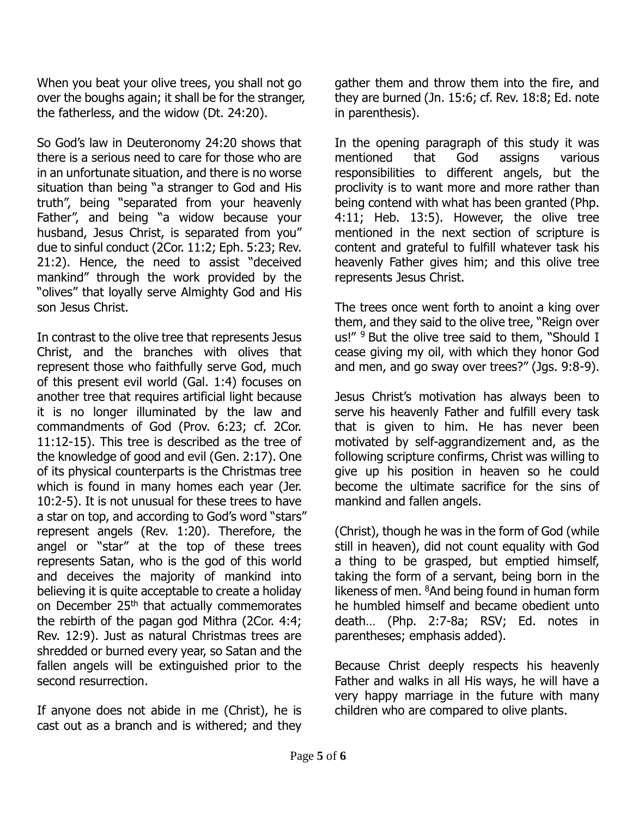When you beat your olive trees, you shall not go over the boughs again; it shall be for the stranger, the fatherless, and the widow (Dt. 24:20).

So God's law in Deuteronomy 24:20 shows that there is a serious need to care for those who are in an unfortunate situation, and there is no worse situation than being "a stranger to God and His truth", being "separated from your heavenly Father", and being "a widow because your husband, Jesus Christ, is separated from you" due to sinful conduct (2Cor. 11:2; Eph. 5:23; Rev. 21:2). Hence, the need to assist "deceived mankind" through the work provided by the "olives" that loyally serve Almighty God and His son Jesus Christ.

In contrast to the olive tree that represents Jesus Christ, and the branches with olives that represent those who faithfully serve God, much of this present evil world (Gal. 1:4) focuses on another tree that requires artificial light because it is no longer illuminated by the law and commandments of God (Prov. 6:23; cf. 2Cor. 11:12-15). This tree is described as the tree of the knowledge of good and evil (Gen. 2:17). One of its physical counterparts is the Christmas tree which is found in many homes each year (Jer. 10:2-5). It is not unusual for these trees to have a star on top, and according to God's word "stars" represent angels (Rev. 1:20). Therefore, the angel or "star" at the top of these trees represents Satan, who is the god of this world and deceives the majority of mankind into believing it is quite acceptable to create a holiday on December 25<sup>th</sup> that actually commemorates the rebirth of the pagan god Mithra (2Cor. 4:4; Rev. 12:9). Just as natural Christmas trees are shredded or burned every year, so Satan and the fallen angels will be extinguished prior to the second resurrection.

If anyone does not abide in me (Christ), he is cast out as a branch and is withered; and they gather them and throw them into the fire, and they are burned (Jn. 15:6; cf. Rev. 18:8; Ed. note in parenthesis).

In the opening paragraph of this study it was mentioned that God assigns various responsibilities to different angels, but the proclivity is to want more and more rather than being contend with what has been granted (Php. 4:11; Heb. 13:5). However, the olive tree mentioned in the next section of scripture is content and grateful to fulfill whatever task his heavenly Father gives him; and this olive tree represents Jesus Christ.

The trees once went forth to anoint a king over them, and they said to the olive tree, "Reign over us!" <sup>9</sup> But the olive tree said to them, "Should I cease giving my oil, with which they honor God and men, and go sway over trees?" (Jgs. 9:8-9).

Jesus Christ's motivation has always been to serve his heavenly Father and fulfill every task that is given to him. He has never been motivated by self-aggrandizement and, as the following scripture confirms, Christ was willing to give up his position in heaven so he could become the ultimate sacrifice for the sins of mankind and fallen angels.

(Christ), though he was in the form of God (while still in heaven), did not count equality with God a thing to be grasped, but emptied himself, taking the form of a servant, being born in the likeness of men. <sup>8</sup>And being found in human form he humbled himself and became obedient unto death… (Php. 2:7-8a; RSV; Ed. notes in parentheses; emphasis added).

Because Christ deeply respects his heavenly Father and walks in all His ways, he will have a very happy marriage in the future with many children who are compared to olive plants.